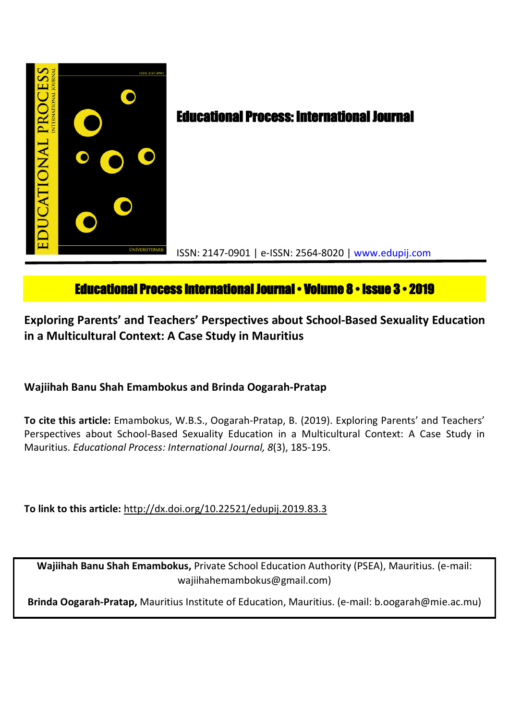

# **Educational Process International Journal • Volume 8 • Issue 3 • 2019**

**Exploring Parents' and Teachers' Perspectives about School-Based Sexuality Education in a Multicultural Context: A Case Study in Mauritius**

**Wajiihah Banu Shah Emambokus and Brinda Oogarah-Pratap**

**To cite this article:** Emambokus, W.B.S., Oogarah-Pratap, B. (2019). Exploring Parents' and Teachers' Perspectives about School-Based Sexuality Education in a Multicultural Context: A Case Study in Mauritius. *Educational Process: International Journal, 8*(3), 185-195.

**To link to this article:** http://dx.doi.org/10.22521/edupij.2019.83.3

**Wajiihah Banu Shah Emambokus,** Private School Education Authority (PSEA), Mauritius. (e-mail: wajiihahemambokus@gmail.com)

**Brinda Oogarah-Pratap,** Mauritius Institute of Education, Mauritius. (e-mail: b.oogarah@mie.ac.mu)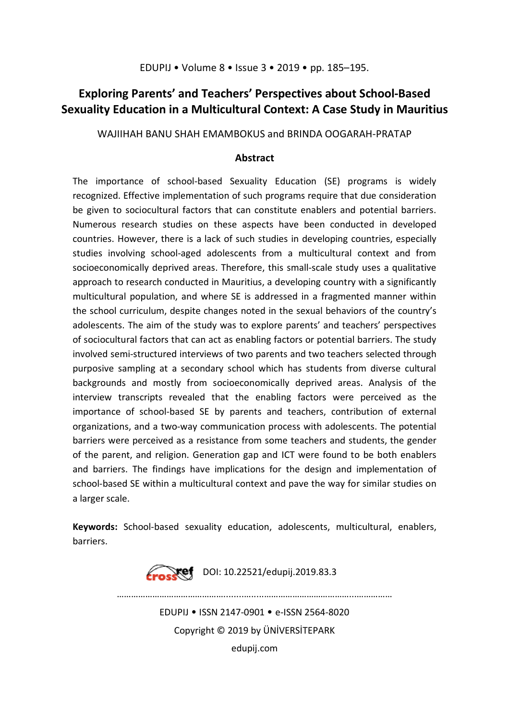# **Exploring Parents' and Teachers' Perspectives about School-Based Sexuality Education in a Multicultural Context: A Case Study in Mauritius**

WAJIIHAH BANU SHAH EMAMBOKUS and BRINDA OOGARAH-PRATAP

# **Abstract**

The importance of school-based Sexuality Education (SE) programs is widely recognized. Effective implementation of such programs require that due consideration be given to sociocultural factors that can constitute enablers and potential barriers. Numerous research studies on these aspects have been conducted in developed countries. However, there is a lack of such studies in developing countries, especially studies involving school-aged adolescents from a multicultural context and from socioeconomically deprived areas. Therefore, this small-scale study uses a qualitative approach to research conducted in Mauritius, a developing country with a significantly multicultural population, and where SE is addressed in a fragmented manner within the school curriculum, despite changes noted in the sexual behaviors of the country's adolescents. The aim of the study was to explore parents' and teachers' perspectives of sociocultural factors that can act as enabling factors or potential barriers. The study involved semi-structured interviews of two parents and two teachers selected through purposive sampling at a secondary school which has students from diverse cultural backgrounds and mostly from socioeconomically deprived areas. Analysis of the interview transcripts revealed that the enabling factors were perceived as the importance of school-based SE by parents and teachers, contribution of external organizations, and a two-way communication process with adolescents. The potential barriers were perceived as a resistance from some teachers and students, the gender of the parent, and religion. Generation gap and ICT were found to be both enablers and barriers. The findings have implications for the design and implementation of school-based SE within a multicultural context and pave the way for similar studies on a larger scale.

**Keywords:** School-based sexuality education, adolescents, multicultural, enablers, barriers.



EDUPIJ • ISSN 2147-0901 • e-ISSN 2564-8020 Copyright © 2019 by ÜNİVERSİTEPARK edupij.com

………………………………………........….....………………………………...……………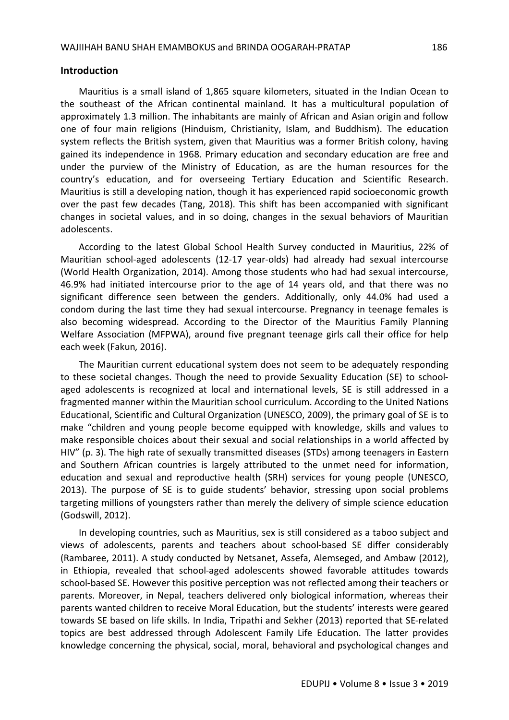#### **Introduction**

Mauritius is a small island of 1,865 square kilometers, situated in the Indian Ocean to the southeast of the African continental mainland. It has a multicultural population of approximately 1.3 million. The inhabitants are mainly of African and Asian origin and follow one of four main religions (Hinduism, Christianity, Islam, and Buddhism). The education system reflects the British system, given that Mauritius was a former British colony, having gained its independence in 1968. Primary education and secondary education are free and under the purview of the Ministry of Education, as are the human resources for the country's education, and for overseeing Tertiary Education and Scientific Research. Mauritius is still a developing nation, though it has experienced rapid socioeconomic growth over the past few decades (Tang, 2018). This shift has been accompanied with significant changes in societal values, and in so doing, changes in the sexual behaviors of Mauritian adolescents.

According to the latest Global School Health Survey conducted in Mauritius, 22% of Mauritian school-aged adolescents (12-17 year-olds) had already had sexual intercourse (World Health Organization, 2014). Among those students who had had sexual intercourse, 46.9% had initiated intercourse prior to the age of 14 years old, and that there was no significant difference seen between the genders. Additionally, only 44.0% had used a condom during the last time they had sexual intercourse. Pregnancy in teenage females is also becoming widespread. According to the Director of the Mauritius Family Planning Welfare Association (MFPWA), around five pregnant teenage girls call their office for help each week (Fakun*,* 2016).

The Mauritian current educational system does not seem to be adequately responding to these societal changes. Though the need to provide Sexuality Education (SE) to schoolaged adolescents is recognized at local and international levels, SE is still addressed in a fragmented manner within the Mauritian school curriculum. According to the United Nations Educational, Scientific and Cultural Organization (UNESCO, 2009), the primary goal of SE is to make "children and young people become equipped with knowledge, skills and values to make responsible choices about their sexual and social relationships in a world affected by HIV" (p. 3). The high rate of sexually transmitted diseases (STDs) among teenagers in Eastern and Southern African countries is largely attributed to the unmet need for information, education and sexual and reproductive health (SRH) services for young people (UNESCO, 2013). The purpose of SE is to guide students' behavior, stressing upon social problems targeting millions of youngsters rather than merely the delivery of simple science education (Godswill, 2012).

In developing countries, such as Mauritius, sex is still considered as a taboo subject and views of adolescents, parents and teachers about school-based SE differ considerably (Rambaree, 2011). A study conducted by Netsanet, Assefa, Alemseged, and Ambaw (2012), in Ethiopia, revealed that school-aged adolescents showed favorable attitudes towards school-based SE. However this positive perception was not reflected among their teachers or parents. Moreover, in Nepal, teachers delivered only biological information, whereas their parents wanted children to receive Moral Education, but the students' interests were geared towards SE based on life skills. In India, Tripathi and Sekher (2013) reported that SE-related topics are best addressed through Adolescent Family Life Education. The latter provides knowledge concerning the physical, social, moral, behavioral and psychological changes and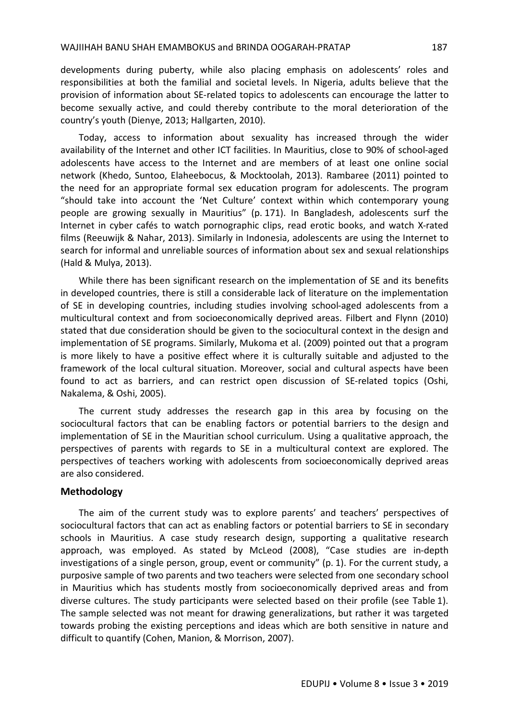#### WAJIIHAH BANU SHAH EMAMBOKUS and BRINDA OOGARAH-PRATAP 187

developments during puberty, while also placing emphasis on adolescents' roles and responsibilities at both the familial and societal levels. In Nigeria, adults believe that the provision of information about SE-related topics to adolescents can encourage the latter to become sexually active, and could thereby contribute to the moral deterioration of the country's youth (Dienye, 2013; Hallgarten, 2010).

Today, access to information about sexuality has increased through the wider availability of the Internet and other ICT facilities. In Mauritius, close to 90% of school-aged adolescents have access to the Internet and are members of at least one online social network (Khedo, Suntoo, Elaheebocus, & Mocktoolah, 2013). Rambaree (2011) pointed to the need for an appropriate formal sex education program for adolescents. The program "should take into account the 'Net Culture' context within which contemporary young people are growing sexually in Mauritius" (p. 171). In Bangladesh, adolescents surf the Internet in cyber cafés to watch pornographic clips, read erotic books, and watch X-rated films (Reeuwijk & Nahar, 2013). Similarly in Indonesia, adolescents are using the Internet to search for informal and unreliable sources of information about sex and sexual relationships (Hald & Mulya, 2013).

While there has been significant research on the implementation of SE and its benefits in developed countries, there is still a considerable lack of literature on the implementation of SE in developing countries, including studies involving school-aged adolescents from a multicultural context and from socioeconomically deprived areas. Filbert and Flynn (2010) stated that due consideration should be given to the sociocultural context in the design and implementation of SE programs. Similarly, Mukoma et al. (2009) pointed out that a program is more likely to have a positive effect where it is culturally suitable and adjusted to the framework of the local cultural situation. Moreover, social and cultural aspects have been found to act as barriers, and can restrict open discussion of SE-related topics (Oshi, Nakalema, & Oshi, 2005).

The current study addresses the research gap in this area by focusing on the sociocultural factors that can be enabling factors or potential barriers to the design and implementation of SE in the Mauritian school curriculum. Using a qualitative approach, the perspectives of parents with regards to SE in a multicultural context are explored. The perspectives of teachers working with adolescents from socioeconomically deprived areas are also considered.

# **Methodology**

The aim of the current study was to explore parents' and teachers' perspectives of sociocultural factors that can act as enabling factors or potential barriers to SE in secondary schools in Mauritius. A case study research design, supporting a qualitative research approach, was employed. As stated by McLeod (2008), "Case studies are in-depth investigations of a single person, group, event or community" (p. 1). For the current study, a purposive sample of two parents and two teachers were selected from one secondary school in Mauritius which has students mostly from socioeconomically deprived areas and from diverse cultures. The study participants were selected based on their profile (see Table 1). The sample selected was not meant for drawing generalizations, but rather it was targeted towards probing the existing perceptions and ideas which are both sensitive in nature and difficult to quantify (Cohen, Manion, & Morrison, 2007).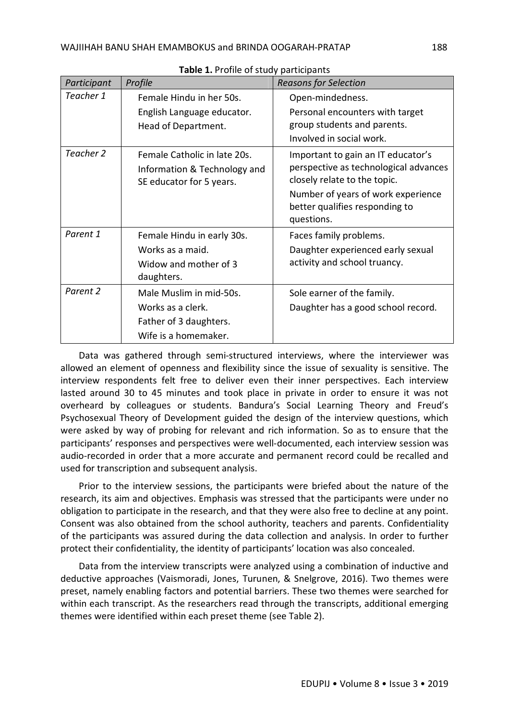| Participant | Profile                                                                                        | <b>Reasons for Selection</b>                                                                                                                                                                      |  |  |  |
|-------------|------------------------------------------------------------------------------------------------|---------------------------------------------------------------------------------------------------------------------------------------------------------------------------------------------------|--|--|--|
| Teacher 1   | Female Hindu in her 50s.<br>English Language educator.<br>Head of Department.                  | Open-mindedness.<br>Personal encounters with target<br>group students and parents.<br>Involved in social work.                                                                                    |  |  |  |
| Teacher 2   | Female Catholic in late 20s.<br>Information & Technology and<br>SE educator for 5 years.       | Important to gain an IT educator's<br>perspective as technological advances<br>closely relate to the topic.<br>Number of years of work experience<br>better qualifies responding to<br>questions. |  |  |  |
| Parent 1    | Female Hindu in early 30s.<br>Works as a maid.<br>Widow and mother of 3<br>daughters.          | Faces family problems.<br>Daughter experienced early sexual<br>activity and school truancy.                                                                                                       |  |  |  |
| Parent 2    | Male Muslim in mid-50s.<br>Works as a clerk.<br>Father of 3 daughters.<br>Wife is a homemaker. | Sole earner of the family.<br>Daughter has a good school record.                                                                                                                                  |  |  |  |

**Table 1.** Profile of study participants

Data was gathered through semi-structured interviews, where the interviewer was allowed an element of openness and flexibility since the issue of sexuality is sensitive. The interview respondents felt free to deliver even their inner perspectives. Each interview lasted around 30 to 45 minutes and took place in private in order to ensure it was not overheard by colleagues or students. Bandura's Social Learning Theory and Freud's Psychosexual Theory of Development guided the design of the interview questions, which were asked by way of probing for relevant and rich information. So as to ensure that the participants' responses and perspectives were well-documented, each interview session was audio-recorded in order that a more accurate and permanent record could be recalled and used for transcription and subsequent analysis.

Prior to the interview sessions, the participants were briefed about the nature of the research, its aim and objectives. Emphasis was stressed that the participants were under no obligation to participate in the research, and that they were also free to decline at any point. Consent was also obtained from the school authority, teachers and parents. Confidentiality of the participants was assured during the data collection and analysis. In order to further protect their confidentiality, the identity of participants' location was also concealed.

Data from the interview transcripts were analyzed using a combination of inductive and deductive approaches (Vaismoradi, Jones, Turunen, & Snelgrove, 2016). Two themes were preset, namely enabling factors and potential barriers. These two themes were searched for within each transcript. As the researchers read through the transcripts, additional emerging themes were identified within each preset theme (see Table 2).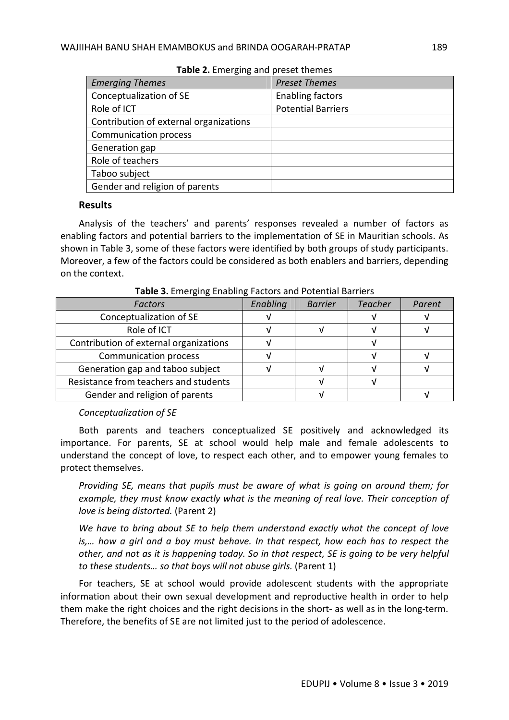| $\frac{1}{2}$                          |                           |  |  |  |  |  |
|----------------------------------------|---------------------------|--|--|--|--|--|
| <b>Emerging Themes</b>                 | <b>Preset Themes</b>      |  |  |  |  |  |
| Conceptualization of SE                | <b>Enabling factors</b>   |  |  |  |  |  |
| Role of ICT                            | <b>Potential Barriers</b> |  |  |  |  |  |
| Contribution of external organizations |                           |  |  |  |  |  |
| Communication process                  |                           |  |  |  |  |  |
| Generation gap                         |                           |  |  |  |  |  |
| Role of teachers                       |                           |  |  |  |  |  |
| Taboo subject                          |                           |  |  |  |  |  |
| Gender and religion of parents         |                           |  |  |  |  |  |

**Table 2.** Emerging and preset themes

# **Results**

Analysis of the teachers' and parents' responses revealed a number of factors as enabling factors and potential barriers to the implementation of SE in Mauritian schools. As shown in Table 3, some of these factors were identified by both groups of study participants. Moreover, a few of the factors could be considered as both enablers and barriers, depending on the context.

| <b>Factors</b>                         | Enabling | <b>Barrier</b> | <b>Teacher</b> | Parent |
|----------------------------------------|----------|----------------|----------------|--------|
| Conceptualization of SE                |          |                |                |        |
| Role of ICT                            |          |                |                |        |
| Contribution of external organizations |          |                |                |        |
| Communication process                  |          |                |                |        |
| Generation gap and taboo subject       |          |                |                |        |
| Resistance from teachers and students  |          |                |                |        |
| Gender and religion of parents         |          |                |                |        |

**Table 3.** Emerging Enabling Factors and Potential Barriers

# *Conceptualization of SE*

Both parents and teachers conceptualized SE positively and acknowledged its importance. For parents, SE at school would help male and female adolescents to understand the concept of love, to respect each other, and to empower young females to protect themselves.

*Providing SE, means that pupils must be aware of what is going on around them; for example, they must know exactly what is the meaning of real love. Their conception of love is being distorted.* (Parent 2)

*We have to bring about SE to help them understand exactly what the concept of love is,… how a girl and a boy must behave. In that respect, how each has to respect the other, and not as it is happening today. So in that respect, SE is going to be very helpful to these students… so that boys will not abuse girls.* (Parent 1)

For teachers, SE at school would provide adolescent students with the appropriate information about their own sexual development and reproductive health in order to help them make the right choices and the right decisions in the short- as well as in the long-term. Therefore, the benefits of SE are not limited just to the period of adolescence.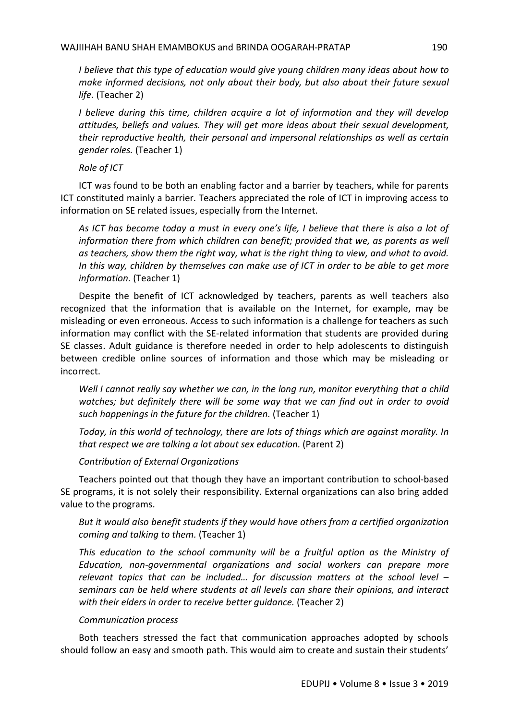*I believe that this type of education would give young children many ideas about how to make informed decisions, not only about their body, but also about their future sexual life.* (Teacher 2)

*I believe during this time, children acquire a lot of information and they will develop attitudes, beliefs and values. They will get more ideas about their sexual development, their reproductive health, their personal and impersonal relationships as well as certain gender roles.* (Teacher 1)

*Role of ICT*

ICT was found to be both an enabling factor and a barrier by teachers, while for parents ICT constituted mainly a barrier. Teachers appreciated the role of ICT in improving access to information on SE related issues, especially from the Internet.

*As ICT has become today a must in every one's life, I believe that there is also a lot of information there from which children can benefit; provided that we, as parents as well as teachers, show them the right way, what is the right thing to view, and what to avoid. In this way, children by themselves can make use of ICT in order to be able to get more information.* (Teacher 1)

Despite the benefit of ICT acknowledged by teachers, parents as well teachers also recognized that the information that is available on the Internet, for example, may be misleading or even erroneous. Access to such information is a challenge for teachers as such information may conflict with the SE-related information that students are provided during SE classes. Adult guidance is therefore needed in order to help adolescents to distinguish between credible online sources of information and those which may be misleading or incorrect.

*Well I cannot really say whether we can, in the long run, monitor everything that a child watches; but definitely there will be some way that we can find out in order to avoid such happenings in the future for the children.* (Teacher 1)

*Today, in this world of technology, there are lots of things which are against morality. In that respect we are talking a lot about sex education.* (Parent 2)

*Contribution of External Organizations*

Teachers pointed out that though they have an important contribution to school-based SE programs, it is not solely their responsibility. External organizations can also bring added value to the programs.

*But it would also benefit students if they would have others from a certified organization coming and talking to them.* (Teacher 1)

*This education to the school community will be a fruitful option as the Ministry of Education, non-governmental organizations and social workers can prepare more relevant topics that can be included… for discussion matters at the school level – seminars can be held where students at all levels can share their opinions, and interact with their elders in order to receive better guidance.* (Teacher 2)

# *Communication process*

Both teachers stressed the fact that communication approaches adopted by schools should follow an easy and smooth path. This would aim to create and sustain their students'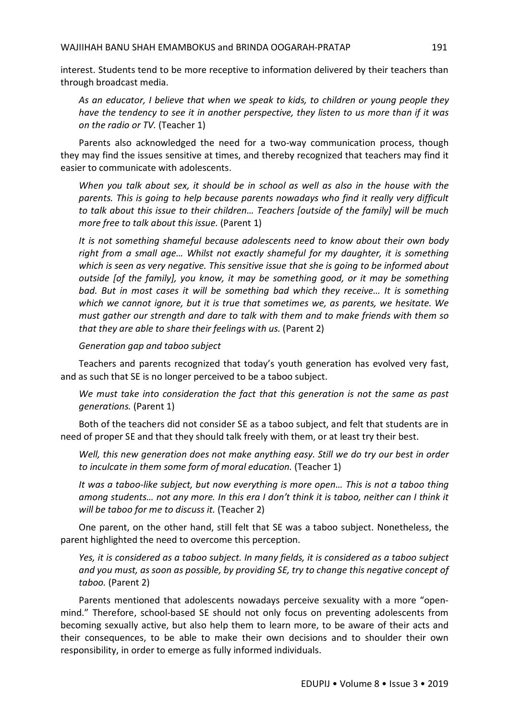interest. Students tend to be more receptive to information delivered by their teachers than through broadcast media.

*As an educator, I believe that when we speak to kids, to children or young people they have the tendency to see it in another perspective, they listen to us more than if it was on the radio or TV.* (Teacher 1)

Parents also acknowledged the need for a two-way communication process, though they may find the issues sensitive at times, and thereby recognized that teachers may find it easier to communicate with adolescents.

*When you talk about sex, it should be in school as well as also in the house with the parents. This is going to help because parents nowadays who find it really very difficult to talk about this issue to their children… Teachers [outside of the family] will be much more free to talk about this issue.* (Parent 1)

*It is not something shameful because adolescents need to know about their own body right from a small age… Whilst not exactly shameful for my daughter, it is something which is seen as very negative. This sensitive issue that she is going to be informed about outside [of the family], you know, it may be something good, or it may be something bad. But in most cases it will be something bad which they receive… It is something which we cannot ignore, but it is true that sometimes we, as parents, we hesitate. We must gather our strength and dare to talk with them and to make friends with them so that they are able to share their feelings with us.* (Parent 2)

*Generation gap and taboo subject*

Teachers and parents recognized that today's youth generation has evolved very fast, and as such that SE is no longer perceived to be a taboo subject.

*We must take into consideration the fact that this generation is not the same as past generations.* (Parent 1)

Both of the teachers did not consider SE as a taboo subject, and felt that students are in need of proper SE and that they should talk freely with them, or at least try their best.

*Well, this new generation does not make anything easy. Still we do try our best in order to inculcate in them some form of moral education.* (Teacher 1)

*It was a taboo-like subject, but now everything is more open… This is not a taboo thing among students… not any more. In this era I don't think it is taboo, neither can I think it will be taboo for me to discuss it.* (Teacher 2)

One parent, on the other hand, still felt that SE was a taboo subject. Nonetheless, the parent highlighted the need to overcome this perception.

*Yes, it is considered as a taboo subject. In many fields, it is considered as a taboo subject and you must, as soon as possible, by providing SE, try to change this negative concept of taboo.* (Parent 2)

Parents mentioned that adolescents nowadays perceive sexuality with a more "openmind." Therefore, school-based SE should not only focus on preventing adolescents from becoming sexually active, but also help them to learn more, to be aware of their acts and their consequences, to be able to make their own decisions and to shoulder their own responsibility, in order to emerge as fully informed individuals.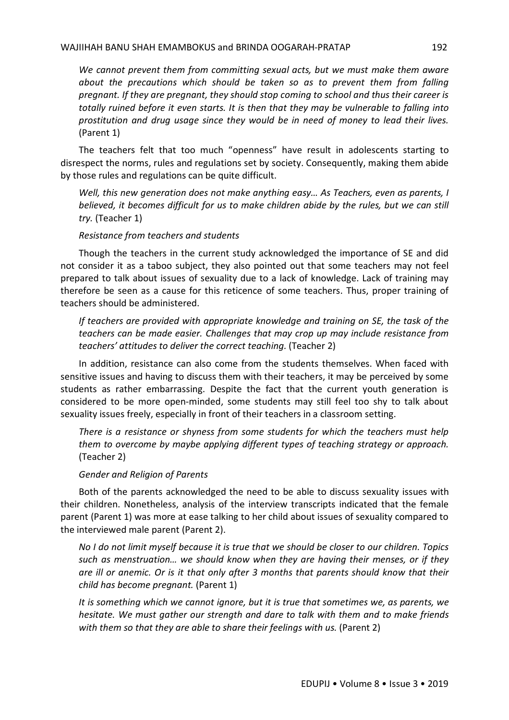*We cannot prevent them from committing sexual acts, but we must make them aware about the precautions which should be taken so as to prevent them from falling pregnant. If they are pregnant, they should stop coming to school and thus their career is totally ruined before it even starts. It is then that they may be vulnerable to falling into prostitution and drug usage since they would be in need of money to lead their lives.* (Parent 1)

The teachers felt that too much "openness" have result in adolescents starting to disrespect the norms, rules and regulations set by society. Consequently, making them abide by those rules and regulations can be quite difficult.

*Well, this new generation does not make anything easy… As Teachers, even as parents, I believed, it becomes difficult for us to make children abide by the rules, but we can still try.* (Teacher 1)

### *Resistance from teachers and students*

Though the teachers in the current study acknowledged the importance of SE and did not consider it as a taboo subject, they also pointed out that some teachers may not feel prepared to talk about issues of sexuality due to a lack of knowledge. Lack of training may therefore be seen as a cause for this reticence of some teachers. Thus, proper training of teachers should be administered.

*If teachers are provided with appropriate knowledge and training on SE, the task of the teachers can be made easier. Challenges that may crop up may include resistance from teachers' attitudes to deliver the correct teaching.* (Teacher 2)

In addition, resistance can also come from the students themselves. When faced with sensitive issues and having to discuss them with their teachers, it may be perceived by some students as rather embarrassing. Despite the fact that the current youth generation is considered to be more open-minded, some students may still feel too shy to talk about sexuality issues freely, especially in front of their teachers in a classroom setting.

*There is a resistance or shyness from some students for which the teachers must help them to overcome by maybe applying different types of teaching strategy or approach.* (Teacher 2)

# *Gender and Religion of Parents*

Both of the parents acknowledged the need to be able to discuss sexuality issues with their children. Nonetheless, analysis of the interview transcripts indicated that the female parent (Parent 1) was more at ease talking to her child about issues of sexuality compared to the interviewed male parent (Parent 2).

*No I do not limit myself because it is true that we should be closer to our children. Topics such as menstruation… we should know when they are having their menses, or if they are ill or anemic. Or is it that only after 3 months that parents should know that their child has become pregnant.* (Parent 1)

*It is something which we cannot ignore, but it is true that sometimes we, as parents, we hesitate. We must gather our strength and dare to talk with them and to make friends with them so that they are able to share their feelings with us.* (Parent 2)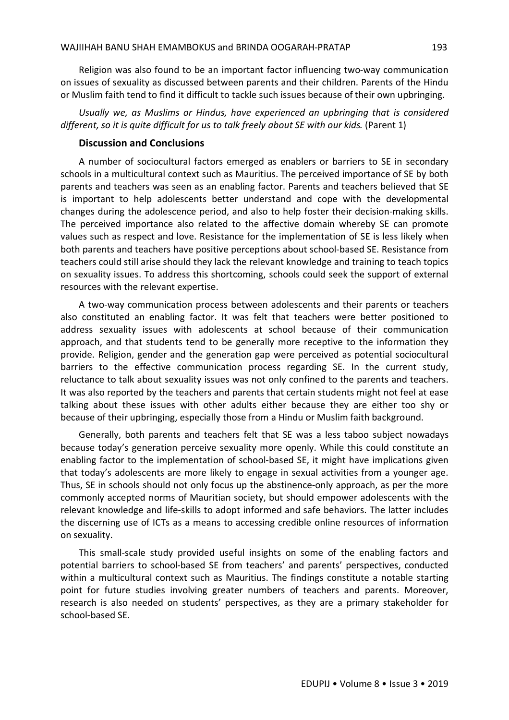Religion was also found to be an important factor influencing two-way communication on issues of sexuality as discussed between parents and their children. Parents of the Hindu or Muslim faith tend to find it difficult to tackle such issues because of their own upbringing.

*Usually we, as Muslims or Hindus, have experienced an upbringing that is considered different, so it is quite difficult for us to talk freely about SE with our kids.* (Parent 1)

# **Discussion and Conclusions**

A number of sociocultural factors emerged as enablers or barriers to SE in secondary schools in a multicultural context such as Mauritius. The perceived importance of SE by both parents and teachers was seen as an enabling factor. Parents and teachers believed that SE is important to help adolescents better understand and cope with the developmental changes during the adolescence period, and also to help foster their decision-making skills. The perceived importance also related to the affective domain whereby SE can promote values such as respect and love. Resistance for the implementation of SE is less likely when both parents and teachers have positive perceptions about school-based SE. Resistance from teachers could still arise should they lack the relevant knowledge and training to teach topics on sexuality issues. To address this shortcoming, schools could seek the support of external resources with the relevant expertise.

A two-way communication process between adolescents and their parents or teachers also constituted an enabling factor. It was felt that teachers were better positioned to address sexuality issues with adolescents at school because of their communication approach, and that students tend to be generally more receptive to the information they provide. Religion, gender and the generation gap were perceived as potential sociocultural barriers to the effective communication process regarding SE. In the current study, reluctance to talk about sexuality issues was not only confined to the parents and teachers. It was also reported by the teachers and parents that certain students might not feel at ease talking about these issues with other adults either because they are either too shy or because of their upbringing, especially those from a Hindu or Muslim faith background.

Generally, both parents and teachers felt that SE was a less taboo subject nowadays because today's generation perceive sexuality more openly. While this could constitute an enabling factor to the implementation of school-based SE, it might have implications given that today's adolescents are more likely to engage in sexual activities from a younger age. Thus, SE in schools should not only focus up the abstinence-only approach, as per the more commonly accepted norms of Mauritian society, but should empower adolescents with the relevant knowledge and life-skills to adopt informed and safe behaviors. The latter includes the discerning use of ICTs as a means to accessing credible online resources of information on sexuality.

This small-scale study provided useful insights on some of the enabling factors and potential barriers to school-based SE from teachers' and parents' perspectives, conducted within a multicultural context such as Mauritius. The findings constitute a notable starting point for future studies involving greater numbers of teachers and parents. Moreover, research is also needed on students' perspectives, as they are a primary stakeholder for school-based SE.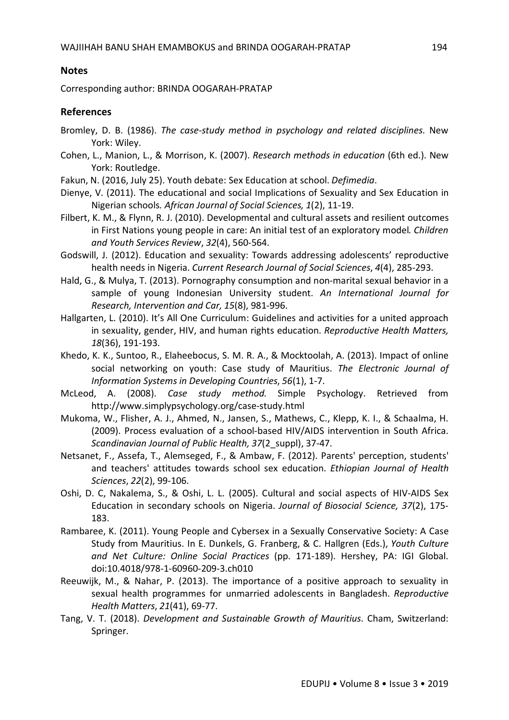# **Notes**

Corresponding author: BRINDA OOGARAH-PRATAP

# **References**

- Bromley, D. B. (1986). *The case-study method in psychology and related disciplines*. New York: Wiley.
- Cohen, L., Manion, L., & Morrison, K. (2007). *Research methods in education* (6th ed.). New York: Routledge.
- Fakun, N. (2016, July 25). Youth debate: Sex Education at school. *Defimedia*.
- Dienye, V. (2011). The educational and social Implications of Sexuality and Sex Education in Nigerian schools*. African Journal of Social Sciences, 1*(2), 11-19.
- Filbert, K. M., & Flynn, R. J. (2010). Developmental and cultural assets and resilient outcomes in First Nations young people in care: An initial test of an exploratory model*. Children and Youth Services Review*, *32*(4), 560-564.
- Godswill, J. (2012). Education and sexuality: Towards addressing adolescents' reproductive health needs in Nigeria. *Current Research Journal of Social Sciences*, *4*(4), 285-293.
- Hald, G., & Mulya, T. (2013). Pornography consumption and non-marital sexual behavior in a sample of young Indonesian University student. *An International Journal for Research, Intervention and Car, 15*(8), 981-996.
- Hallgarten, L. (2010). It's All One Curriculum: Guidelines and activities for a united approach in sexuality, gender, HIV, and human rights education. *Reproductive Health Matters, 18*(36), 191-193.
- Khedo, K. K., Suntoo, R., Elaheebocus, S. M. R. A., & Mocktoolah, A. (2013). Impact of online social networking on youth: Case study of Mauritius. *The Electronic Journal of Information Systems in Developing Countries*, *56*(1), 1-7.
- McLeod, A. (2008). *Case study method.* Simple Psychology. Retrieved from http://www.simplypsychology.org/case-study.html
- Mukoma, W., Flisher, A. J., Ahmed, N., Jansen, S., Mathews, C., Klepp, K. I., & Schaalma, H. (2009). Process evaluation of a school-based HIV/AIDS intervention in South Africa. *Scandinavian Journal of Public Health, 37*(2\_suppl), 37-47.
- Netsanet, F., Assefa, T., Alemseged, F., & Ambaw, F. (2012). Parents' perception, students' and teachers' attitudes towards school sex education. *Ethiopian Journal of Health Sciences*, *22*(2), 99-106.
- Oshi, D. C, Nakalema, S., & Oshi, L. L. (2005). Cultural and social aspects of HIV-AIDS Sex Education in secondary schools on Nigeria. *Journal of Biosocial Science, 37*(2), 175- 183.
- Rambaree, K. (2011). Young People and Cybersex in a Sexually Conservative Society: A Case Study from Mauritius. In E. Dunkels, G. Franberg, & C. Hallgren (Eds.), *Youth Culture and Net Culture: Online Social Practices* (pp. 171-189). Hershey, PA: IGI Global. doi:10.4018/978-1-60960-209-3.ch010
- Reeuwijk, M., & Nahar, P. (2013). The importance of a positive approach to sexuality in sexual health programmes for unmarried adolescents in Bangladesh. *Reproductive Health Matters*, *21*(41), 69-77.
- Tang, V. T. (2018). *Development and Sustainable Growth of Mauritius*. Cham, Switzerland: Springer.